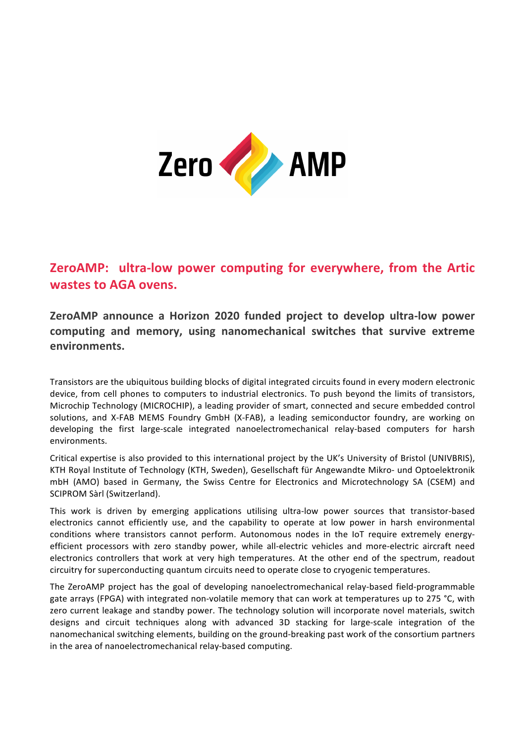

## **ZeroAMP:** ultra-low power computing for everywhere, from the Artic **wastes to AGA ovens.**

ZeroAMP announce a Horizon 2020 funded project to develop ultra-low power computing and memory, using nanomechanical switches that survive extreme **environments.** 

Transistors are the ubiquitous building blocks of digital integrated circuits found in every modern electronic device, from cell phones to computers to industrial electronics. To push beyond the limits of transistors, Microchip Technology (MICROCHIP), a leading provider of smart, connected and secure embedded control solutions, and X-FAB MEMS Foundry GmbH (X-FAB), a leading semiconductor foundry, are working on developing the first large-scale integrated nanoelectromechanical relay-based computers for harsh environments. 

Critical expertise is also provided to this international project by the UK's University of Bristol (UNIVBRIS), KTH Royal Institute of Technology (KTH, Sweden), Gesellschaft für Angewandte Mikro- und Optoelektronik mbH (AMO) based in Germany, the Swiss Centre for Electronics and Microtechnology SA (CSEM) and SCIPROM Sàrl (Switzerland).

This work is driven by emerging applications utilising ultra-low power sources that transistor-based electronics cannot efficiently use, and the capability to operate at low power in harsh environmental conditions where transistors cannot perform. Autonomous nodes in the IoT require extremely energyefficient processors with zero standby power, while all-electric vehicles and more-electric aircraft need electronics controllers that work at very high temperatures. At the other end of the spectrum, readout circuitry for superconducting quantum circuits need to operate close to cryogenic temperatures.

The ZeroAMP project has the goal of developing nanoelectromechanical relay-based field-programmable gate arrays (FPGA) with integrated non-volatile memory that can work at temperatures up to 275 °C, with zero current leakage and standby power. The technology solution will incorporate novel materials, switch designs and circuit techniques along with advanced 3D stacking for large-scale integration of the nanomechanical switching elements, building on the ground-breaking past work of the consortium partners in the area of nanoelectromechanical relay-based computing.